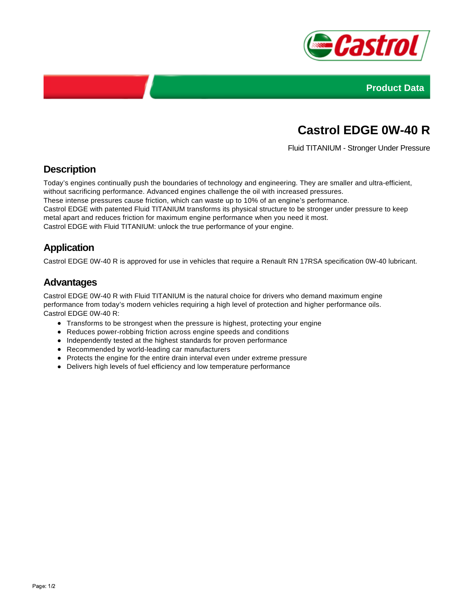



# **Castrol EDGE 0W-40 R**

Fluid TITANIUM - Stronger Under Pressure

## **Description**

Today's engines continually push the boundaries of technology and engineering. They are smaller and ultra-efficient, without sacrificing performance. Advanced engines challenge the oil with increased pressures.

These intense pressures cause friction, which can waste up to 10% of an engine's performance.

Castrol EDGE with patented Fluid TITANIUM transforms its physical structure to be stronger under pressure to keep metal apart and reduces friction for maximum engine performance when you need it most.

Castrol EDGE with Fluid TITANIUM: unlock the true performance of your engine.

## **Application**

Castrol EDGE 0W-40 R is approved for use in vehicles that require a Renault RN 17RSA specification 0W-40 lubricant.

#### **Advantages**

Castrol EDGE 0W-40 R with Fluid TITANIUM is the natural choice for drivers who demand maximum engine performance from today's modern vehicles requiring a high level of protection and higher performance oils. Castrol EDGE 0W-40 R:

- Transforms to be strongest when the pressure is highest, protecting your engine
- Reduces power-robbing friction across engine speeds and conditions
- Independently tested at the highest standards for proven performance
- Recommended by world-leading car manufacturers
- Protects the engine for the entire drain interval even under extreme pressure
- Delivers high levels of fuel efficiency and low temperature performance